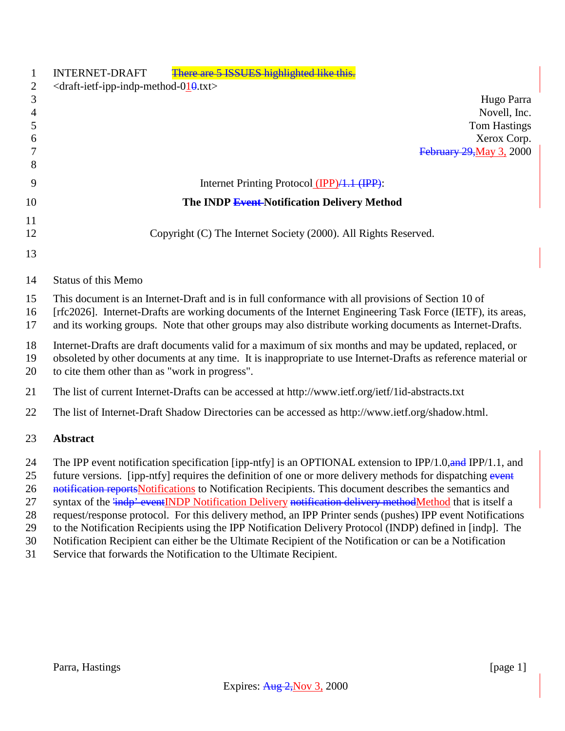| 1<br>$\mathbf{2}$<br>$\mathfrak{Z}$<br>$\overline{4}$<br>5<br>6<br>7 | There are 5 ISSUES highlighted like this.<br><b>INTERNET-DRAFT</b><br>$\langle$ draft-ietf-ipp-indp-method-010.txt><br>Hugo Parra<br>Novell, Inc.<br><b>Tom Hastings</b><br>Xerox Corp.<br><b>February 29, May 3, 2000</b>                                                                                                                                                                                                                                                                                                                                                                                                                                                                                                                                                                  |
|----------------------------------------------------------------------|---------------------------------------------------------------------------------------------------------------------------------------------------------------------------------------------------------------------------------------------------------------------------------------------------------------------------------------------------------------------------------------------------------------------------------------------------------------------------------------------------------------------------------------------------------------------------------------------------------------------------------------------------------------------------------------------------------------------------------------------------------------------------------------------|
| 8<br>9                                                               |                                                                                                                                                                                                                                                                                                                                                                                                                                                                                                                                                                                                                                                                                                                                                                                             |
|                                                                      | Internet Printing Protocol (IPP)/1.1 (IPP):                                                                                                                                                                                                                                                                                                                                                                                                                                                                                                                                                                                                                                                                                                                                                 |
| 10                                                                   | The INDP Event-Notification Delivery Method                                                                                                                                                                                                                                                                                                                                                                                                                                                                                                                                                                                                                                                                                                                                                 |
| 11<br>12                                                             | Copyright (C) The Internet Society (2000). All Rights Reserved.                                                                                                                                                                                                                                                                                                                                                                                                                                                                                                                                                                                                                                                                                                                             |
| 13                                                                   |                                                                                                                                                                                                                                                                                                                                                                                                                                                                                                                                                                                                                                                                                                                                                                                             |
| 14                                                                   | <b>Status of this Memo</b>                                                                                                                                                                                                                                                                                                                                                                                                                                                                                                                                                                                                                                                                                                                                                                  |
| 15<br>16<br>17                                                       | This document is an Internet-Draft and is in full conformance with all provisions of Section 10 of<br>[rfc2026]. Internet-Drafts are working documents of the Internet Engineering Task Force (IETF), its areas,<br>and its working groups. Note that other groups may also distribute working documents as Internet-Drafts.                                                                                                                                                                                                                                                                                                                                                                                                                                                                |
| 18<br>19<br>20                                                       | Internet-Drafts are draft documents valid for a maximum of six months and may be updated, replaced, or<br>obsoleted by other documents at any time. It is inappropriate to use Internet-Drafts as reference material or<br>to cite them other than as "work in progress".                                                                                                                                                                                                                                                                                                                                                                                                                                                                                                                   |
| 21                                                                   | The list of current Internet-Drafts can be accessed at http://www.ietf.org/ietf/1id-abstracts.txt                                                                                                                                                                                                                                                                                                                                                                                                                                                                                                                                                                                                                                                                                           |
| 22                                                                   | The list of Internet-Draft Shadow Directories can be accessed as http://www.ietf.org/shadow.html.                                                                                                                                                                                                                                                                                                                                                                                                                                                                                                                                                                                                                                                                                           |
| 23                                                                   | <b>Abstract</b>                                                                                                                                                                                                                                                                                                                                                                                                                                                                                                                                                                                                                                                                                                                                                                             |
| 24<br>25<br>26<br>27<br>28<br>29<br>30                               | The IPP event notification specification [ipp-ntfy] is an OPTIONAL extension to IPP/1.0, and IPP/1.1, and<br>future versions. [ipp-ntfy] requires the definition of one or more delivery methods for dispatching event<br>notification reports Notifications to Notification Recipients. This document describes the semantics and<br>syntax of the <i>indp'</i> eventINDP Notification Delivery notification delivery methodMethod that is itself a<br>request/response protocol. For this delivery method, an IPP Printer sends (pushes) IPP event Notifications<br>to the Notification Recipients using the IPP Notification Delivery Protocol (INDP) defined in [indp]. The<br>Notification Recipient can either be the Ultimate Recipient of the Notification or can be a Notification |

Service that forwards the Notification to the Ultimate Recipient.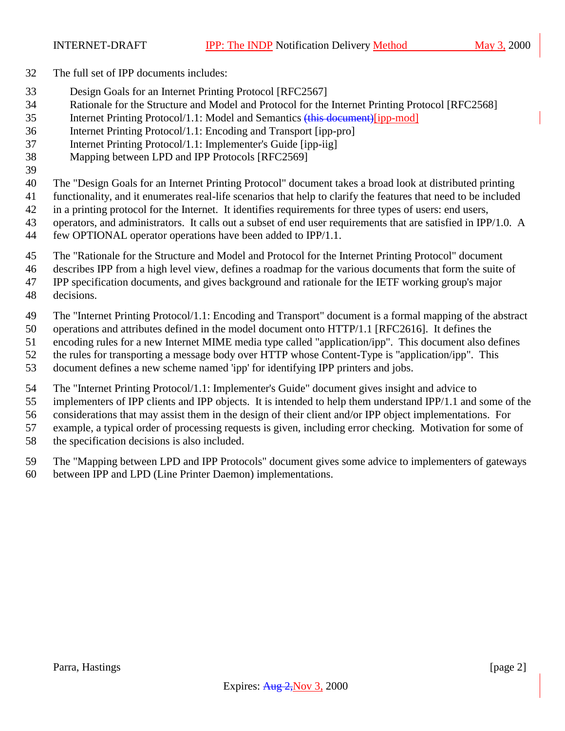- The full set of IPP documents includes:
- Design Goals for an Internet Printing Protocol [RFC2567]
- Rationale for the Structure and Model and Protocol for the Internet Printing Protocol [RFC2568]
- Internet Printing Protocol/1.1: Model and Semantics (this document)[ipp-mod]
- Internet Printing Protocol/1.1: Encoding and Transport [ipp-pro]
- Internet Printing Protocol/1.1: Implementer's Guide [ipp-iig]
- Mapping between LPD and IPP Protocols [RFC2569]
- 

The "Design Goals for an Internet Printing Protocol" document takes a broad look at distributed printing

- functionality, and it enumerates real-life scenarios that help to clarify the features that need to be included
- in a printing protocol for the Internet. It identifies requirements for three types of users: end users,
- 43 operators, and administrators. It calls out a subset of end user requirements that are satisfied in IPP/1.0. A
- few OPTIONAL operator operations have been added to IPP/1.1.
- The "Rationale for the Structure and Model and Protocol for the Internet Printing Protocol" document
- describes IPP from a high level view, defines a roadmap for the various documents that form the suite of
- IPP specification documents, and gives background and rationale for the IETF working group's major
- decisions.
- The "Internet Printing Protocol/1.1: Encoding and Transport" document is a formal mapping of the abstract
- operations and attributes defined in the model document onto HTTP/1.1 [RFC2616]. It defines the
- encoding rules for a new Internet MIME media type called "application/ipp". This document also defines
- the rules for transporting a message body over HTTP whose Content-Type is "application/ipp". This
- document defines a new scheme named 'ipp' for identifying IPP printers and jobs.
- The "Internet Printing Protocol/1.1: Implementer's Guide" document gives insight and advice to
- implementers of IPP clients and IPP objects. It is intended to help them understand IPP/1.1 and some of the
- considerations that may assist them in the design of their client and/or IPP object implementations. For
- example, a typical order of processing requests is given, including error checking. Motivation for some of
- the specification decisions is also included.
- The "Mapping between LPD and IPP Protocols" document gives some advice to implementers of gateways
- between IPP and LPD (Line Printer Daemon) implementations.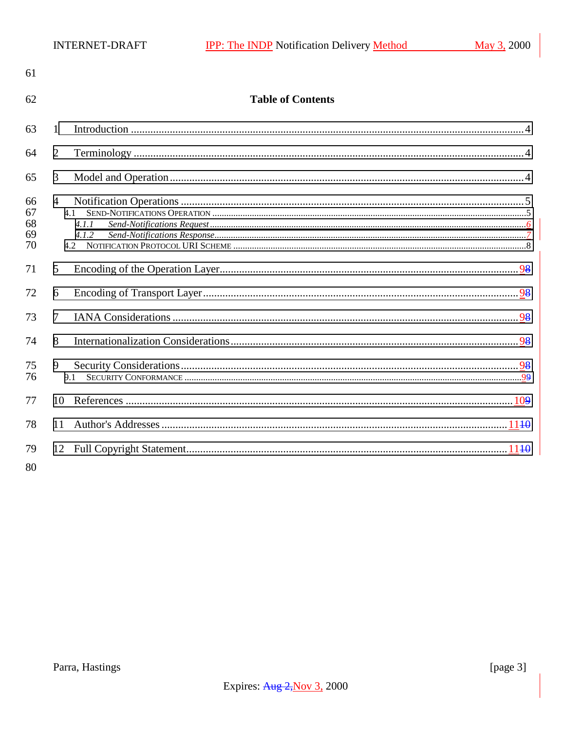| 61                         |                       |                          |
|----------------------------|-----------------------|--------------------------|
| 62                         |                       | <b>Table of Contents</b> |
| 63                         | 1                     |                          |
| 64                         | 2                     |                          |
| 65                         | 3                     |                          |
| 66<br>67<br>68<br>69<br>70 | $\overline{4}$<br>4.1 | 4.1.1<br>4.1.2           |
| 71                         | 5                     |                          |
| 72                         | 6                     |                          |
| 73                         | $\overline{7}$        |                          |
| 74                         | 8                     |                          |
| 75<br>76                   | 9<br>9.1              |                          |
| 77                         | 10                    |                          |
| 78                         | 11                    |                          |
| 79<br>80                   |                       |                          |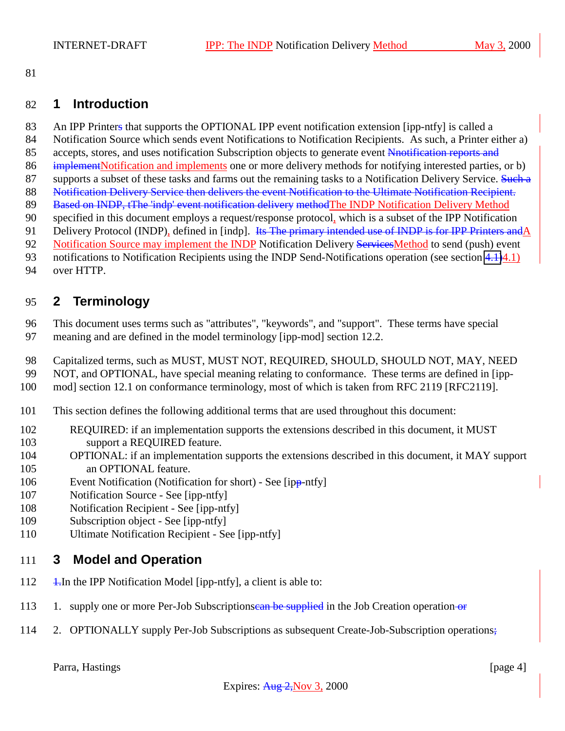### **1 Introduction**

- 83 An IPP Printers that supports the OPTIONAL IPP event notification extension [ipp-ntfy] is called a
- Notification Source which sends event Notifications to Notification Recipients. As such, a Printer either a)
- 85 accepts, stores, and uses notification Subscription objects to generate event Nnotification reports and
- implementNotification and implements one or more delivery methods for notifying interested parties, or b)
- 87 supports a subset of these tasks and farms out the remaining tasks to a Notification Delivery Service. Such a
- 88 Notification Delivery Service then delivers the event Notification to the Ultimate Notification Recipient.
- 89 Based on INDP, tThe 'indp' event notification delivery methodThe INDP Notification Delivery Method
- specified in this document employs a request/response protocol, which is a subset of the IPP Notification 91 Delivery Protocol (INDP), defined in [indp]. Its The primary intended use of INDP is for IPP Printers and A
- 92 Notification Source may implement the INDP Notification Delivery Services Method to send (push) event
- notifications to Notification Recipients using the INDP Send-Notifications operation (see section [4.1\)](#page-8-0)4.1)
- over HTTP.

# **2 Terminology**

- This document uses terms such as "attributes", "keywords", and "support". These terms have special meaning and are defined in the model terminology [ipp-mod] section 12.2.
- Capitalized terms, such as MUST, MUST NOT, REQUIRED, SHOULD, SHOULD NOT, MAY, NEED
- NOT, and OPTIONAL, have special meaning relating to conformance. These terms are defined in [ipp-
- mod] section 12.1 on conformance terminology, most of which is taken from RFC 2119 [RFC2119].
- This section defines the following additional terms that are used throughout this document:
- REQUIRED: if an implementation supports the extensions described in this document, it MUST support a REQUIRED feature.
- OPTIONAL: if an implementation supports the extensions described in this document, it MAY support 105 an OPTIONAL feature.
- Event Notification (Notification for short) See [ipp-ntfy]
- Notification Source See [ipp-ntfy]
- Notification Recipient See [ipp-ntfy]
- Subscription object See [ipp-ntfy]
- Ultimate Notification Recipient See [ipp-ntfy]

### **3 Model and Operation**

- 112  $\frac{1}{2}$  1. In the IPP Notification Model [ipp-ntfy], a client is able to:
- 113 1. supply one or more Per-Job Subscriptionsean be supplied in the Job Creation operation or
- 2. OPTIONALLY supply Per-Job Subscriptions as subsequent Create-Job-Subscription operations;

Parra, Hastings [page 4]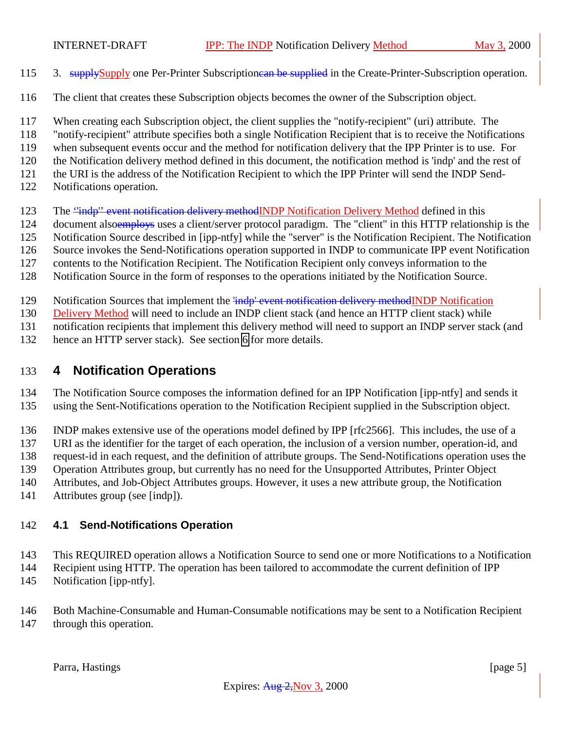- 115 3. supplySupply one Per-Printer Subscriptionean be supplied in the Create-Printer-Subscription operation.
- The client that creates these Subscription objects becomes the owner of the Subscription object.
- When creating each Subscription object, the client supplies the "notify-recipient" (uri) attribute. The
- "notify-recipient" attribute specifies both a single Notification Recipient that is to receive the Notifications
- when subsequent events occur and the method for notification delivery that the IPP Printer is to use. For
- the Notification delivery method defined in this document, the notification method is 'indp' and the rest of
- the URI is the address of the Notification Recipient to which the IPP Printer will send the INDP Send-
- Notifications operation.
- 123 The "indp" event notification delivery methodINDP Notification Delivery Method defined in this
- 124 document alsoemploys uses a client/server protocol paradigm. The "client" in this HTTP relationship is the
- Notification Source described in [ipp-ntfy] while the "server" is the Notification Recipient. The Notification
- Source invokes the Send-Notifications operation supported in INDP to communicate IPP event Notification
- contents to the Notification Recipient. The Notification Recipient only conveys information to the
- Notification Source in the form of responses to the operations initiated by the Notification Source.
- 129 Notification Sources that implement the 'indp' event notification delivery methodINDP Notification

Delivery Method will need to include an INDP client stack (and hence an HTTP client stack) while

notification recipients that implement this delivery method will need to support an INDP server stack (and

hence an HTTP server stack). See section [6](#page-8-0) for more details.

# **4 Notification Operations**

The Notification Source composes the information defined for an IPP Notification [ipp-ntfy] and sends it

using the Sent-Notifications operation to the Notification Recipient supplied in the Subscription object.

INDP makes extensive use of the operations model defined by IPP [rfc2566]. This includes, the use of a

URI as the identifier for the target of each operation, the inclusion of a version number, operation-id, and

request-id in each request, and the definition of attribute groups. The Send-Notifications operation uses the

Operation Attributes group, but currently has no need for the Unsupported Attributes, Printer Object

Attributes, and Job-Object Attributes groups. However, it uses a new attribute group, the Notification

Attributes group (see [indp]).

# **4.1 Send-Notifications Operation**

This REQUIRED operation allows a Notification Source to send one or more Notifications to a Notification

- Recipient using HTTP. The operation has been tailored to accommodate the current definition of IPP
- Notification [ipp-ntfy].

 Both Machine-Consumable and Human-Consumable notifications may be sent to a Notification Recipient through this operation.

Parra, Hastings [page 5]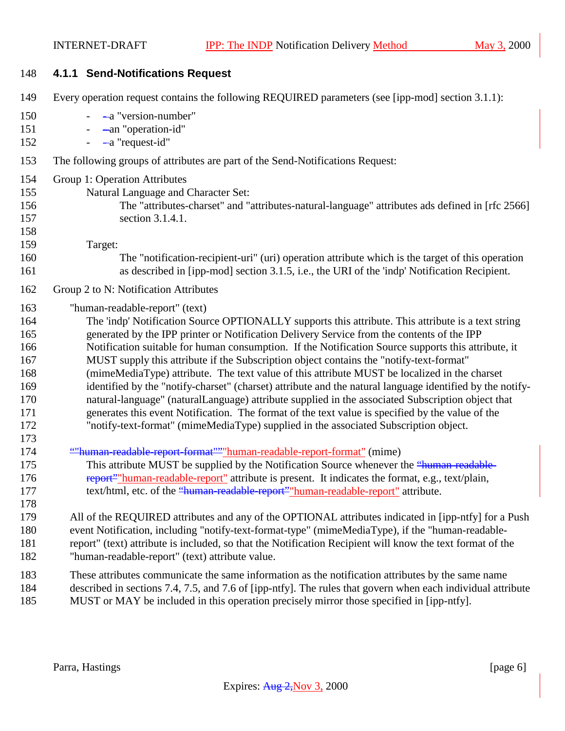| 148                                                                       | 4.1.1 Send-Notifications Request                                                                                                                                                                                                                                                                                                                                                                                                                                                                                                                                                                                                                                                                                                                                                                                                                                                                                                                   |  |
|---------------------------------------------------------------------------|----------------------------------------------------------------------------------------------------------------------------------------------------------------------------------------------------------------------------------------------------------------------------------------------------------------------------------------------------------------------------------------------------------------------------------------------------------------------------------------------------------------------------------------------------------------------------------------------------------------------------------------------------------------------------------------------------------------------------------------------------------------------------------------------------------------------------------------------------------------------------------------------------------------------------------------------------|--|
| 149                                                                       | Every operation request contains the following REQUIRED parameters (see [ipp-mod] section 3.1.1):                                                                                                                                                                                                                                                                                                                                                                                                                                                                                                                                                                                                                                                                                                                                                                                                                                                  |  |
| 150<br>151<br>152                                                         | -a "version-number"<br>-an "operation-id"<br>-a "request-id"<br>$\equiv$                                                                                                                                                                                                                                                                                                                                                                                                                                                                                                                                                                                                                                                                                                                                                                                                                                                                           |  |
| 153                                                                       | The following groups of attributes are part of the Send-Notifications Request:                                                                                                                                                                                                                                                                                                                                                                                                                                                                                                                                                                                                                                                                                                                                                                                                                                                                     |  |
| 154<br>155<br>156<br>157<br>158<br>159                                    | Group 1: Operation Attributes<br>Natural Language and Character Set:<br>The "attributes-charset" and "attributes-natural-language" attributes ads defined in [rfc 2566]<br>section 3.1.4.1.<br>Target:                                                                                                                                                                                                                                                                                                                                                                                                                                                                                                                                                                                                                                                                                                                                             |  |
| 160<br>161                                                                | The "notification-recipient-uri" (uri) operation attribute which is the target of this operation<br>as described in [ipp-mod] section 3.1.5, i.e., the URI of the 'indp' Notification Recipient.                                                                                                                                                                                                                                                                                                                                                                                                                                                                                                                                                                                                                                                                                                                                                   |  |
| 162                                                                       | Group 2 to N: Notification Attributes                                                                                                                                                                                                                                                                                                                                                                                                                                                                                                                                                                                                                                                                                                                                                                                                                                                                                                              |  |
| 163<br>164<br>165<br>166<br>167<br>168<br>169<br>170<br>171<br>172<br>173 | "human-readable-report" (text)<br>The 'indp' Notification Source OPTIONALLY supports this attribute. This attribute is a text string<br>generated by the IPP printer or Notification Delivery Service from the contents of the IPP<br>Notification suitable for human consumption. If the Notification Source supports this attribute, it<br>MUST supply this attribute if the Subscription object contains the "notify-text-format"<br>(mimeMediaType) attribute. The text value of this attribute MUST be localized in the charset<br>identified by the "notify-charset" (charset) attribute and the natural language identified by the notify-<br>natural-language" (naturalLanguage) attribute supplied in the associated Subscription object that<br>generates this event Notification. The format of the text value is specified by the value of the<br>"notify-text-format" (mimeMediaType) supplied in the associated Subscription object. |  |
| 174<br>175<br>176<br>177<br>178                                           | ""human-readable-report-format"""human-readable-report-format" (mime)<br>This attribute MUST be supplied by the Notification Source whenever the "human-readable-<br>report" "human-readable-report" attribute is present. It indicates the format, e.g., text/plain,<br>text/html, etc. of the "human-readable-report" "human-readable-report" attribute.                                                                                                                                                                                                                                                                                                                                                                                                                                                                                                                                                                                         |  |
| 179<br>180<br>181<br>182                                                  | All of the REQUIRED attributes and any of the OPTIONAL attributes indicated in [ipp-ntfy] for a Push<br>event Notification, including "notify-text-format-type" (mimeMediaType), if the "human-readable-<br>report" (text) attribute is included, so that the Notification Recipient will know the text format of the<br>"human-readable-report" (text) attribute value.                                                                                                                                                                                                                                                                                                                                                                                                                                                                                                                                                                           |  |
| 183<br>184<br>185                                                         | These attributes communicate the same information as the notification attributes by the same name<br>described in sections 7.4, 7.5, and 7.6 of [ipp-ntfy]. The rules that govern when each individual attribute<br>MUST or MAY be included in this operation precisely mirror those specified in [ipp-ntfy].                                                                                                                                                                                                                                                                                                                                                                                                                                                                                                                                                                                                                                      |  |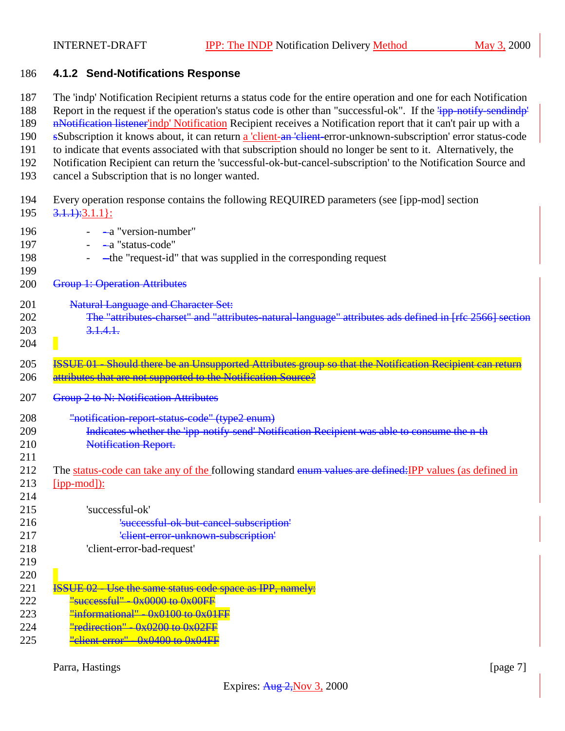#### 186 **4.1.2 Send-Notifications Response**

- 187 The 'indp' Notification Recipient returns a status code for the entire operation and one for each Notification
- 188 Report in the request if the operation's status code is other than "successful-ok". If the  $\frac{1}{1}$ pp-notify-sendindp'
- 189 n-Notification listener'indp' Notification Recipient receives a Notification report that it can't pair up with a
- 190 sSubscription it knows about, it can return a 'client-an 'client-error-unknown-subscription' error status-code 191 to indicate that events associated with that subscription should no longer be sent to it. Alternatively, the
- 192 Notification Recipient can return the 'successful-ok-but-cancel-subscription' to the Notification Source and
- 193 cancel a Subscription that is no longer wanted.
- 194 Every operation response contains the following REQUIRED parameters (see [ipp-mod] section

|     | 195 $\frac{3.1.1}{6}.3.1.1}$ : |
|-----|--------------------------------|
| 196 | -a "version-number"            |

- 197 - a "status-code" 198 - - the "request-id" that was supplied in the corresponding request 199 200 Group 1: Operation Attributes 201 **Natural Language and Character Set:** 202 The "attributes-charset" and "attributes-natural-language" attributes ads defined in [rfc 2566] section 203 3.1.4.1. 204 205 **ISSUE 01** Should there be an Unsupported Attributes group so that the Notification Recipient can return 206 attributes that are not supported to the Notification Source? 207 Group 2 to N: Notification Attributes
- 208 "notification-report-status-code" (type2 enum)
- 209 Indicates whether the 'ipp-notify-send' Notification Recipient was able to consume the n-th 210 **Notification Report.**
- 211 212 The status-code can take any of the following standard enum values are defined: IPP values (as defined in
- 213 [ipp-mod]): 214

| 215 | 'successful-ok'                                  |
|-----|--------------------------------------------------|
| 216 | 'successful-ok-but-cancel-subscription'          |
| 217 | 'elient error-unknown subscription'              |
| 218 | 'client-error-bad-request'                       |
| 219 |                                                  |
| 220 |                                                  |
| 221 | . Use the same status code space as IPP, namely: |
| 222 |                                                  |
|     |                                                  |

- 223  $\frac{\text{"informational} \cdot \text{Ox0100}}{\text{non} \cdot \text{Ox01FF}}$
- 224 **"redirection"**  $0 \times 0200$  to  $0 \times 02FF$
- 225  $"client error"  $0x0400$  to  $0x04FF$$

Parra, Hastings [page 7]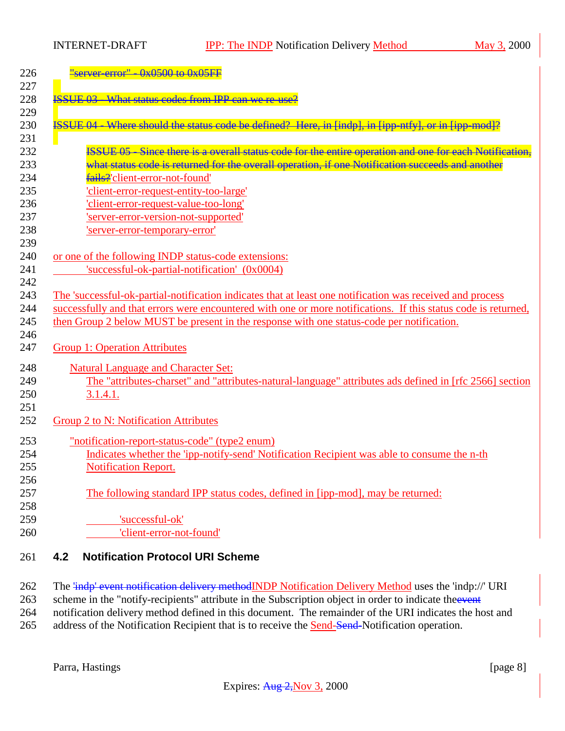INTERNET-DRAFT **IPP:** The INDP Notification Delivery Method May 3, 2000

| $server_error'' - 0x0500 to 0x05FF$                                                                                        |
|----------------------------------------------------------------------------------------------------------------------------|
| <b>ISSUE 03 - What status codes from IPP can we re-use</b>                                                                 |
| ISSUE 04 Where should the status code be defined? Here, in [indp], in [ipp ntfy], or in [ipp mod]?                         |
| ISSUE 05 - Since there is a overall status code for the entire operation and one for each Notification,                    |
| what status code is returned for the overall operation, if one Notification succeeds and another                           |
| fails?'client-error-not-found'                                                                                             |
| 'client-error-request-entity-too-large'                                                                                    |
| 'client-error-request-value-too-long'                                                                                      |
| 'server-error-version-not-supported'                                                                                       |
| 'server-error-temporary-error'                                                                                             |
| or one of the following INDP status-code extensions:                                                                       |
| 'successful-ok-partial-notification' (0x0004)                                                                              |
|                                                                                                                            |
| The 'successful-ok-partial-notification indicates that at least one notification was received and process                  |
| successfully and that errors were encountered with one or more notifications. If this status code is returned,             |
| then Group 2 below MUST be present in the response with one status-code per notification.                                  |
|                                                                                                                            |
|                                                                                                                            |
| <b>Group 1: Operation Attributes</b>                                                                                       |
|                                                                                                                            |
| <b>Natural Language and Character Set:</b>                                                                                 |
| 3.1.4.1.                                                                                                                   |
|                                                                                                                            |
| Group 2 to N: Notification Attributes                                                                                      |
|                                                                                                                            |
| "notification-report-status-code" (type2 enum)                                                                             |
| Indicates whether the 'ipp-notify-send' Notification Recipient was able to consume the n-th<br><b>Notification Report.</b> |
| The "attributes-charset" and "attributes-natural-language" attributes ads defined in [rfc 2566] section                    |
|                                                                                                                            |
| The following standard IPP status codes, defined in [ipp-mod], may be returned:                                            |
| 'successful-ok'                                                                                                            |

262 The 'indp' event notification delivery methodINDP Notification Delivery Method uses the 'indp://' URI 263 scheme in the "notify-recipients" attribute in the Subscription object in order to indicate the event 264 notification delivery method defined in this document. The remainder of the URI indicates the host and 265 address of the Notification Recipient that is to receive the **Send-Send-Notification operation**.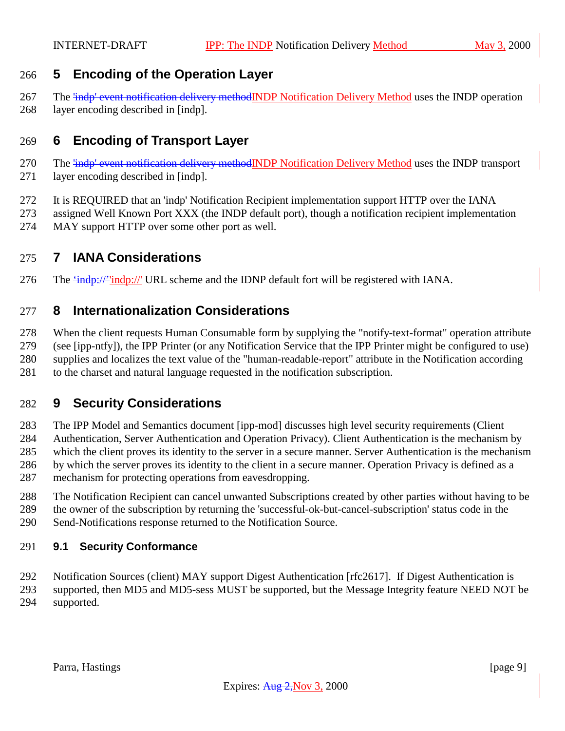### <span id="page-8-0"></span>**5 Encoding of the Operation Layer**

267 The <del>'indp' event notification delivery method</del>INDP Notification Delivery Method uses the INDP operation layer encoding described in [indp].

### **6 Encoding of Transport Layer**

- 270 The <del>'indp' event notification delivery method</del>INDP Notification Delivery Method uses the INDP transport layer encoding described in [indp].
- It is REQUIRED that an 'indp' Notification Recipient implementation support HTTP over the IANA
- assigned Well Known Port XXX (the INDP default port), though a notification recipient implementation
- MAY support HTTP over some other port as well.

### **7 IANA Considerations**

276 The  $\frac{276}{100}$  The  $\frac{276}{100}$  The  $\frac{276}{100}$  URL scheme and the IDNP default fort will be registered with IANA.

### **8 Internationalization Considerations**

When the client requests Human Consumable form by supplying the "notify-text-format" operation attribute

 (see [ipp-ntfy]), the IPP Printer (or any Notification Service that the IPP Printer might be configured to use) supplies and localizes the text value of the "human-readable-report" attribute in the Notification according

to the charset and natural language requested in the notification subscription.

# **9 Security Considerations**

 The IPP Model and Semantics document [ipp-mod] discusses high level security requirements (Client Authentication, Server Authentication and Operation Privacy). Client Authentication is the mechanism by which the client proves its identity to the server in a secure manner. Server Authentication is the mechanism by which the server proves its identity to the client in a secure manner. Operation Privacy is defined as a mechanism for protecting operations from eavesdropping.

- The Notification Recipient can cancel unwanted Subscriptions created by other parties without having to be
- the owner of the subscription by returning the 'successful-ok-but-cancel-subscription' status code in the
- Send-Notifications response returned to the Notification Source.

### **9.1 Security Conformance**

Notification Sources (client) MAY support Digest Authentication [rfc2617]. If Digest Authentication is

 supported, then MD5 and MD5-sess MUST be supported, but the Message Integrity feature NEED NOT be supported.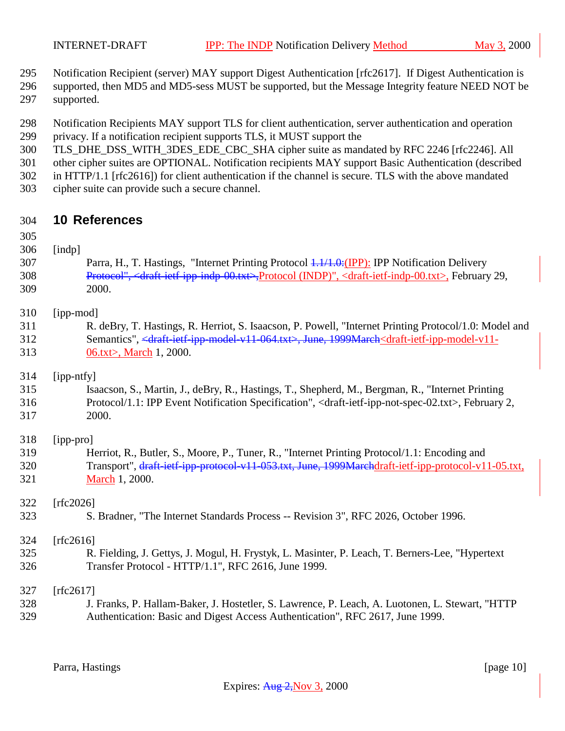<span id="page-9-0"></span>

Notification Recipient (server) MAY support Digest Authentication [rfc2617]. If Digest Authentication is

- supported, then MD5 and MD5-sess MUST be supported, but the Message Integrity feature NEED NOT be supported.
- Notification Recipients MAY support TLS for client authentication, server authentication and operation privacy. If a notification recipient supports TLS, it MUST support the
- TLS\_DHE\_DSS\_WITH\_3DES\_EDE\_CBC\_SHA cipher suite as mandated by RFC 2246 [rfc2246]. All
- other cipher suites are OPTIONAL. Notification recipients MAY support Basic Authentication (described
- in HTTP/1.1 [rfc2616]) for client authentication if the channel is secure. TLS with the above mandated
- cipher suite can provide such a secure channel.

### **10 References**

#### [indp]

307 Parra, H., T. Hastings, "Internet Printing Protocol  $\frac{1.1}{1.0}$ : (IPP): IPP Notification Delivery Protocol", <draft-ietf-ipp-indp-00.txt>,Protocol (INDP)", <draft-ietf-indp-00.txt>, February 29, 2000.

#### [ipp-mod]

 R. deBry, T. Hastings, R. Herriot, S. Isaacson, P. Powell, "Internet Printing Protocol/1.0: Model and Semantics", <draft-ietf-ipp-model-v11-064.txt>, June, 1999March<draft-ietf-ipp-model-v11- 06.txt>, March 1, 2000.

#### [ipp-ntfy]

 Isaacson, S., Martin, J., deBry, R., Hastings, T., Shepherd, M., Bergman, R., "Internet Printing Protocol/1.1: IPP Event Notification Specification", <draft-ietf-ipp-not-spec-02.txt>, February 2, 2000.

### [ipp-pro]

 Herriot, R., Butler, S., Moore, P., Tuner, R., "Internet Printing Protocol/1.1: Encoding and 320 Transport", draft-ietf-ipp-protocol-v11-053.txt, June, 1999Marchdraft-ietf-ipp-protocol-v11-05.txt, March 1, 2000.

#### [rfc2026]

S. Bradner, "The Internet Standards Process -- Revision 3", RFC 2026, October 1996.

#### [rfc2616]

 R. Fielding, J. Gettys, J. Mogul, H. Frystyk, L. Masinter, P. Leach, T. Berners-Lee, "Hypertext Transfer Protocol - HTTP/1.1", RFC 2616, June 1999.

#### [rfc2617]

 J. Franks, P. Hallam-Baker, J. Hostetler, S. Lawrence, P. Leach, A. Luotonen, L. Stewart, "HTTP Authentication: Basic and Digest Access Authentication", RFC 2617, June 1999.